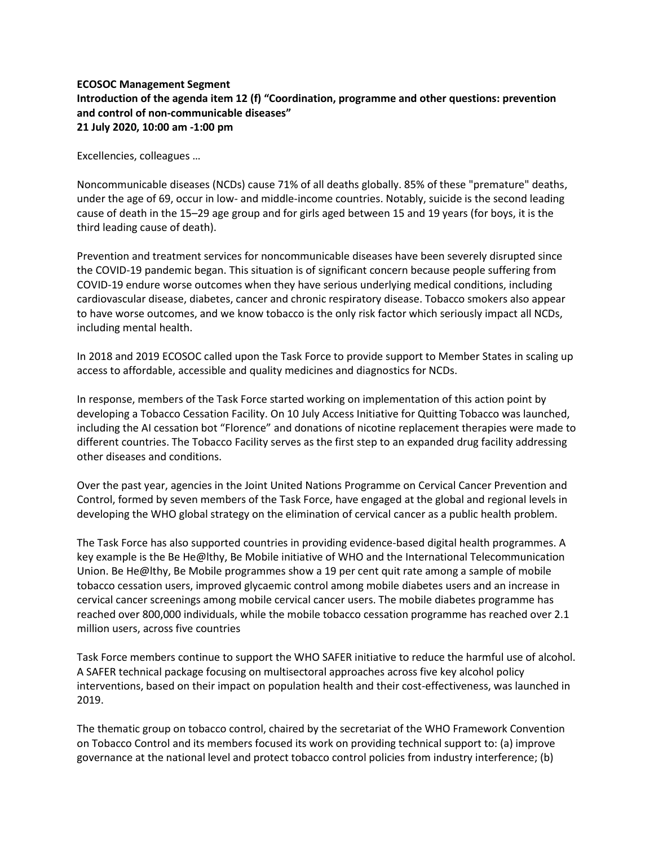## **ECOSOC Management Segment Introduction of the agenda item 12 (f) "Coordination, programme and other questions: prevention and control of non-communicable diseases" 21 July 2020, 10:00 am -1:00 pm**

Excellencies, colleagues …

Noncommunicable diseases (NCDs) cause 71% of all deaths globally. 85% of these "premature" deaths, under the age of 69, occur in low- and middle-income countries. Notably, suicide is the second leading cause of death in the 15–29 age group and for girls aged between 15 and 19 years (for boys, it is the third leading cause of death).

Prevention and treatment services for noncommunicable diseases have been severely disrupted since the COVID-19 pandemic began. This situation is of significant concern because people suffering from COVID-19 endure worse outcomes when they have serious underlying medical conditions, including cardiovascular disease, diabetes, cancer and chronic respiratory disease. Tobacco smokers also appear to have worse outcomes, and we know tobacco is the only risk factor which seriously impact all NCDs, including mental health.

In 2018 and 2019 ECOSOC called upon the Task Force to provide support to Member States in scaling up access to affordable, accessible and quality medicines and diagnostics for NCDs.

In response, members of the Task Force started working on implementation of this action point by developing a Tobacco Cessation Facility. On 10 July Access Initiative for Quitting Tobacco was launched, including the AI cessation bot "Florence" and donations of nicotine replacement therapies were made to different countries. The Tobacco Facility serves as the first step to an expanded drug facility addressing other diseases and conditions.

Over the past year, agencies in the Joint United Nations Programme on Cervical Cancer Prevention and Control, formed by seven members of the Task Force, have engaged at the global and regional levels in developing the WHO global strategy on the elimination of cervical cancer as a public health problem.

The Task Force has also supported countries in providing evidence-based digital health programmes. A key example is the Be He@lthy, Be Mobile initiative of WHO and the International Telecommunication Union. Be He@lthy, Be Mobile programmes show a 19 per cent quit rate among a sample of mobile tobacco cessation users, improved glycaemic control among mobile diabetes users and an increase in cervical cancer screenings among mobile cervical cancer users. The mobile diabetes programme has reached over 800,000 individuals, while the mobile tobacco cessation programme has reached over 2.1 million users, across five countries

Task Force members continue to support the WHO SAFER initiative to reduce the harmful use of alcohol. A SAFER technical package focusing on multisectoral approaches across five key alcohol policy interventions, based on their impact on population health and their cost-effectiveness, was launched in 2019.

The thematic group on tobacco control, chaired by the secretariat of the WHO Framework Convention on Tobacco Control and its members focused its work on providing technical support to: (a) improve governance at the national level and protect tobacco control policies from industry interference; (b)